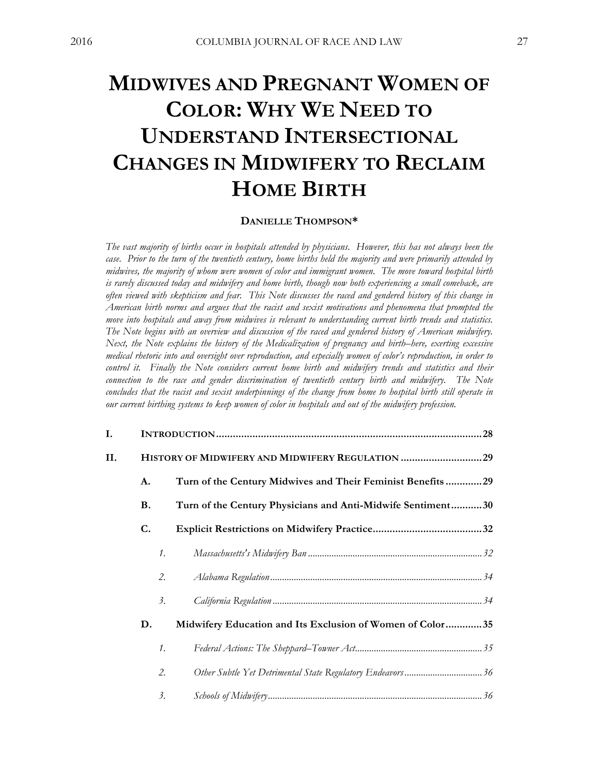# **MIDWIVES AND PREGNANT WOMEN OF COLOR: WHY WE NEED TO UNDERSTAND INTERSECTIONAL CHANGES IN MIDWIFERY TO RECLAIM HOME BIRTH**

# **DANIELLE THOMPSON\***

The vast majority of births occur in hospitals attended by physicians. However, this has not always been the case. Prior to the turn of the twentieth century, home births held the majority and were primarily attended by *midwives, the majority of whom were women of color and immigrant women. The move toward hospital birth* is rarely discussed today and midwifery and home birth, though now both experiencing a small comeback, are often viewed with skepticism and fear. This Note discusses the raced and gendered history of this change in *American birth norms and argues that the racist and sexist motivations and phenomena that prompted the move into hospitals and away from midwives is relevant to understanding current birth trends and statistics. The Note begins with an overview and discussion of the raced and gendered history of American midwifery. Next, the Note explains the history of the Medicalization of pregnancy and birth–here, exerting excessive medical rhetoric into and oversight over reproduction, and especially women of color's reproduction, in order to control it. Finally the Note considers current home birth and midwifery trends and statistics and their connection to the race and gender discrimination of twentieth century birth and midwifery. The Note* concludes that the racist and sexist underpinnings of the change from home to hospital birth still operate in *our current birthing systems to keep women of color in hospitals and out of the midwifery profession.*

| I. |                 |                                                             |  |
|----|-----------------|-------------------------------------------------------------|--|
| П. |                 | HISTORY OF MIDWIFERY AND MIDWIFERY REGULATION 29            |  |
|    | A.              | Turn of the Century Midwives and Their Feminist Benefits29  |  |
|    | В.              | Turn of the Century Physicians and Anti-Midwife Sentiment30 |  |
|    | C.              |                                                             |  |
|    | $\mathcal{I}$ . |                                                             |  |
|    |                 | 2.                                                          |  |
|    | 3.              |                                                             |  |
|    | D.              | Midwifery Education and Its Exclusion of Women of Color35   |  |
|    | $\mathcal{I}$ . |                                                             |  |
|    | 2.              | Other Subtle Yet Detrimental State Regulatory Endeavors36   |  |
|    | 3.              |                                                             |  |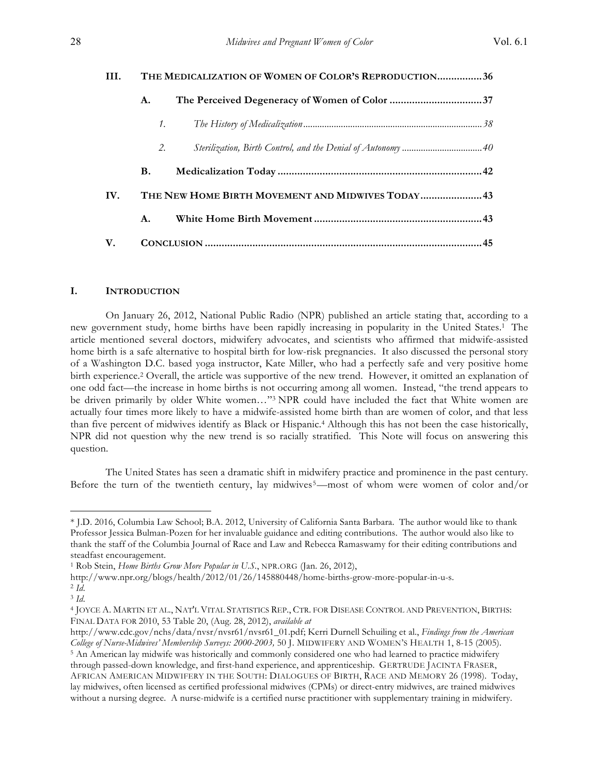| HI.                                                      | THE MEDICALIZATION OF WOMEN OF COLOR'S REPRODUCTION36 |    |  |  |
|----------------------------------------------------------|-------------------------------------------------------|----|--|--|
|                                                          | А.                                                    |    |  |  |
|                                                          |                                                       | 1. |  |  |
|                                                          | 2.                                                    |    |  |  |
|                                                          | В.                                                    |    |  |  |
| THE NEW HOME BIRTH MOVEMENT AND MIDWIVES TODAY 43<br>IV. |                                                       |    |  |  |
|                                                          | A.                                                    |    |  |  |
| V.                                                       |                                                       |    |  |  |

# **I. INTRODUCTION**

On January 26, 2012, National Public Radio (NPR) published an article stating that, according to a new government study, home births have been rapidly increasing in popularity in the United States.1 The article mentioned several doctors, midwifery advocates, and scientists who affirmed that midwife-assisted home birth is a safe alternative to hospital birth for low-risk pregnancies. It also discussed the personal story of a Washington D.C. based yoga instructor, Kate Miller, who had a perfectly safe and very positive home birth experience.2 Overall, the article was supportive of the new trend. However, it omitted an explanation of one odd fact—the increase in home births is not occurring among all women. Instead, "the trend appears to be driven primarily by older White women…"3 NPR could have included the fact that White women are actually four times more likely to have a midwife-assisted home birth than are women of color, and that less than five percent of midwives identify as Black or Hispanic.4 Although this has not been the case historically, NPR did not question why the new trend is so racially stratified. This Note will focus on answering this question.

The United States has seen a dramatic shift in midwifery practice and prominence in the past century. Before the turn of the twentieth century, lay midwives<sup>5</sup>—most of whom were women of color and/or

<sup>\*</sup> J.D. 2016, Columbia Law School; B.A. 2012, University of California Santa Barbara. The author would like to thank Professor Jessica Bulman-Pozen for her invaluable guidance and editing contributions. The author would also like to thank the staff of the Columbia Journal of Race and Law and Rebecca Ramaswamy for their editing contributions and steadfast encouragement.

<sup>1</sup> Rob Stein, *Home Births Grow More Popular in U.S.*, NPR.ORG (Jan. 26, 2012),

http://www.npr.org/blogs/health/2012/01/26/145880448/home-births-grow-more-popular-in-u-s.

<sup>2</sup> *Id*.

<sup>3</sup> *Id*.

<sup>4</sup> JOYCE A. MARTIN ET AL., NAT'L VITAL STATISTICS REP., CTR. FOR DISEASE CONTROL AND PREVENTION, BIRTHS: FINAL DATA FOR 2010, 53 Table 20, (Aug. 28, 2012), *available at*

http://www.cdc.gov/nchs/data/nvsr/nvsr61/nvsr61\_01.pdf; Kerri Durnell Schuiling et al., *Findings from the American College of Nurse-Midwives' Membership Surveys: 2000-2003,* 50 J. MIDWIFERY AND WOMEN'S HEALTH 1, 8-15 (2005). <sup>5</sup> An American lay midwife was historically and commonly considered one who had learned to practice midwifery through passed-down knowledge, and first-hand experience, and apprenticeship. GERTRUDE JACINTA FRASER, AFRICAN AMERICAN MIDWIFERY IN THE SOUTH: DIALOGUES OF BIRTH, RACE AND MEMORY 26 (1998). Today, lay midwives, often licensed as certified professional midwives (CPMs) or direct-entry midwives, are trained midwives without a nursing degree. A nurse-midwife is a certified nurse practitioner with supplementary training in midwifery.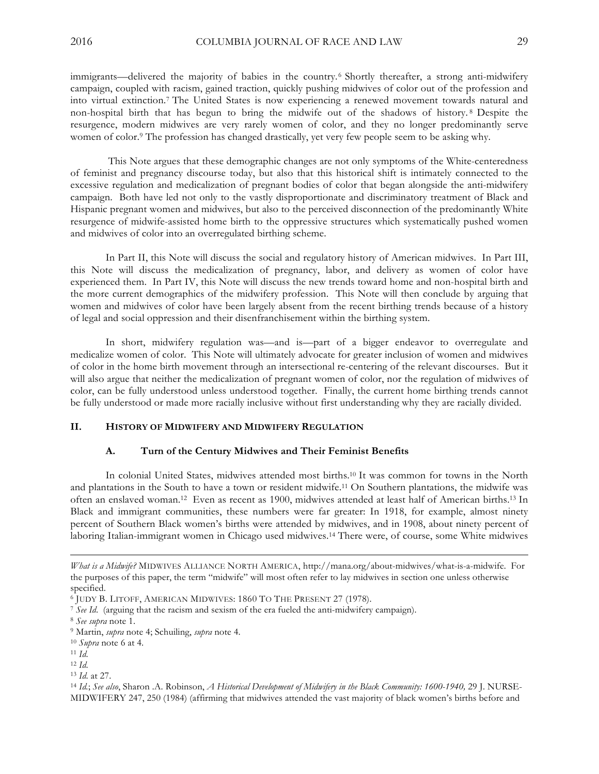immigrants—delivered the majority of babies in the country.6 Shortly thereafter, a strong anti-midwifery campaign, coupled with racism, gained traction, quickly pushing midwives of color out of the profession and into virtual extinction.7 The United States is now experiencing a renewed movement towards natural and non-hospital birth that has begun to bring the midwife out of the shadows of history. <sup>8</sup> Despite the resurgence, modern midwives are very rarely women of color, and they no longer predominantly serve women of color.<sup>9</sup> The profession has changed drastically, yet very few people seem to be asking why.

This Note argues that these demographic changes are not only symptoms of the White-centeredness of feminist and pregnancy discourse today, but also that this historical shift is intimately connected to the excessive regulation and medicalization of pregnant bodies of color that began alongside the anti-midwifery campaign. Both have led not only to the vastly disproportionate and discriminatory treatment of Black and Hispanic pregnant women and midwives, but also to the perceived disconnection of the predominantly White resurgence of midwife-assisted home birth to the oppressive structures which systematically pushed women and midwives of color into an overregulated birthing scheme.

In Part II, this Note will discuss the social and regulatory history of American midwives. In Part III, this Note will discuss the medicalization of pregnancy, labor, and delivery as women of color have experienced them. In Part IV, this Note will discuss the new trends toward home and non-hospital birth and the more current demographics of the midwifery profession. This Note will then conclude by arguing that women and midwives of color have been largely absent from the recent birthing trends because of a history of legal and social oppression and their disenfranchisement within the birthing system.

In short, midwifery regulation was—and is—part of a bigger endeavor to overregulate and medicalize women of color. This Note will ultimately advocate for greater inclusion of women and midwives of color in the home birth movement through an intersectional re-centering of the relevant discourses. But it will also argue that neither the medicalization of pregnant women of color, nor the regulation of midwives of color, can be fully understood unless understood together. Finally, the current home birthing trends cannot be fully understood or made more racially inclusive without first understanding why they are racially divided.

# **II. HISTORY OF MIDWIFERY AND MIDWIFERY REGULATION**

#### **A. Turn of the Century Midwives and Their Feminist Benefits**

In colonial United States, midwives attended most births.10 It was common for towns in the North and plantations in the South to have a town or resident midwife.11 On Southern plantations, the midwife was often an enslaved woman.12 Even as recent as 1900, midwives attended at least half of American births.13 In Black and immigrant communities, these numbers were far greater: In 1918, for example, almost ninety percent of Southern Black women's births were attended by midwives, and in 1908, about ninety percent of laboring Italian-immigrant women in Chicago used midwives.14 There were, of course, some White midwives

*What is a Midwife?* MIDWIVES ALLIANCE NORTH AMERICA, http://mana.org/about-midwives/what-is-a-midwife. For the purposes of this paper, the term "midwife" will most often refer to lay midwives in section one unless otherwise specified.

<sup>6</sup> JUDY B. LITOFF, AMERICAN MIDWIVES: 1860 TO THE PRESENT 27 (1978).

<sup>7</sup> *See Id*. (arguing that the racism and sexism of the era fueled the anti-midwifery campaign).

<sup>8</sup> *See supra* note 1.

<sup>9</sup> Martin, *supra* note 4; Schuiling, *supra* note 4.

<sup>10</sup> *Supra* note 6 at 4.

<sup>11</sup> *Id*.

<sup>12</sup> *Id*.

<sup>13</sup> *Id*. at 27.

<sup>14</sup> *Id.*; *See also*, Sharon .A. Robinson, *A Historical Development of Midwifery in the Black Community: 1600-1940,* 29 J. NURSE-MIDWIFERY 247, 250 (1984) (affirming that midwives attended the vast majority of black women's births before and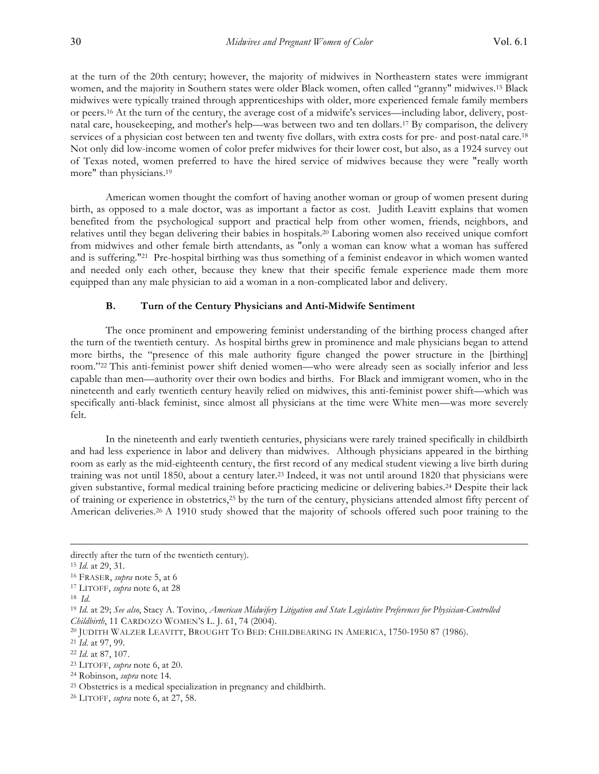at the turn of the 20th century; however, the majority of midwives in Northeastern states were immigrant women, and the majority in Southern states were older Black women, often called "granny" midwives.15 Black midwives were typically trained through apprenticeships with older, more experienced female family members or peers.16 At the turn of the century, the average cost of a midwife's services—including labor, delivery, postnatal care, housekeeping, and mother's help—was between two and ten dollars.17 By comparison, the delivery services of a physician cost between ten and twenty five dollars, with extra costs for pre- and post-natal care.<sup>18</sup> Not only did low-income women of color prefer midwives for their lower cost, but also, as a 1924 survey out of Texas noted, women preferred to have the hired service of midwives because they were "really worth more" than physicians.19

American women thought the comfort of having another woman or group of women present during birth, as opposed to a male doctor, was as important a factor as cost. Judith Leavitt explains that women benefited from the psychological support and practical help from other women, friends, neighbors, and relatives until they began delivering their babies in hospitals.20 Laboring women also received unique comfort from midwives and other female birth attendants, as "only a woman can know what a woman has suffered and is suffering."21 Pre-hospital birthing was thus something of a feminist endeavor in which women wanted and needed only each other, because they knew that their specific female experience made them more equipped than any male physician to aid a woman in a non-complicated labor and delivery.

## **B. Turn of the Century Physicians and Anti-Midwife Sentiment**

The once prominent and empowering feminist understanding of the birthing process changed after the turn of the twentieth century. As hospital births grew in prominence and male physicians began to attend more births, the "presence of this male authority figure changed the power structure in the [birthing] room."22 This anti-feminist power shift denied women—who were already seen as socially inferior and less capable than men—authority over their own bodies and births. For Black and immigrant women, who in the nineteenth and early twentieth century heavily relied on midwives, this anti-feminist power shift—which was specifically anti-black feminist, since almost all physicians at the time were White men—was more severely felt.

In the nineteenth and early twentieth centuries, physicians were rarely trained specifically in childbirth and had less experience in labor and delivery than midwives. Although physicians appeared in the birthing room as early as the mid-eighteenth century, the first record of any medical student viewing a live birth during training was not until 1850, about a century later.23 Indeed, it was not until around 1820 that physicians were given substantive, formal medical training before practicing medicine or delivering babies.24 Despite their lack of training or experience in obstetrics,25 by the turn of the century, physicians attended almost fifty percent of American deliveries.<sup>26</sup> A 1910 study showed that the majority of schools offered such poor training to the

directly after the turn of the twentieth century).

<sup>15</sup> *Id*. at 29, 31.

<sup>16</sup> FRASER, *supra* note 5, at 6

<sup>17</sup> LITOFF, *supra* note 6, at 28

<sup>18</sup> *Id*.

<sup>19</sup> *Id*. at 29; *See also*, Stacy A. Tovino, *American Midwifery Litigation and State Legislative Preferences for Physician-Controlled Childbirth*, 11 CARDOZO WOMEN'S L. J. 61, 74 (2004).

<sup>20</sup> JUDITH WALZER LEAVITT, BROUGHT TO BED: CHILDBEARING IN AMERICA, 1750-1950 87 (1986).

<sup>21</sup> *Id*. at 97, 99.

<sup>22</sup> *Id*. at 87, 107.

<sup>23</sup> LITOFF, *supra* note 6, at 20.

<sup>24</sup> Robinson, *supra* note 14.

<sup>25</sup> Obstetrics is a medical specialization in pregnancy and childbirth.

<sup>26</sup> LITOFF, *supra* note 6, at 27, 58.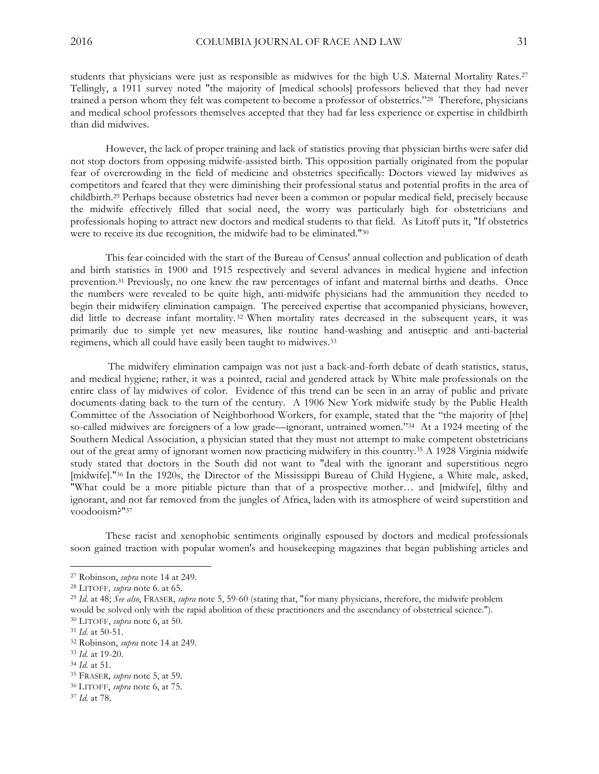students that physicians were just as responsible as midwives for the high U.S. Maternal Mortality Rates.27 Tellingly, a 1911 survey noted "the majority of [medical schools] professors believed that they had never trained a person whom they felt was competent to become a professor of obstetrics."28 Therefore, physicians and medical school professors themselves accepted that they had far less experience or expertise in childbirth than did midwives.

However, the lack of proper training and lack of statistics proving that physician births were safer did not stop doctors from opposing midwife-assisted birth. This opposition partially originated from the popular fear of overcrowding in the field of medicine and obstetrics specifically: Doctors viewed lay midwives as competitors and feared that they were diminishing their professional status and potential profits in the area of childbirth.29 Perhaps because obstetrics had never been a common or popular medical field, precisely because the midwife effectively filled that social need, the worry was particularly high for obstetricians and professionals hoping to attract new doctors and medical students to that field. As Litoff puts it, "If obstetrics were to receive its due recognition, the midwife had to be eliminated."30

This fear coincided with the start of the Bureau of Census' annual collection and publication of death and birth statistics in 1900 and 1915 respectively and several advances in medical hygiene and infection prevention.31 Previously, no one knew the raw percentages of infant and maternal births and deaths. Once the numbers were revealed to be quite high, anti-midwife physicians had the ammunition they needed to begin their midwifery elimination campaign. The perceived expertise that accompanied physicians, however, did little to decrease infant mortality. <sup>32</sup> When mortality rates decreased in the subsequent years, it was primarily due to simple yet new measures, like routine hand-washing and antiseptic and anti-bacterial regimens, which all could have easily been taught to midwives.33

The midwifery elimination campaign was not just a back-and-forth debate of death statistics, status, and medical hygiene; rather, it was a pointed, racial and gendered attack by White male professionals on the entire class of lay midwives of color. Evidence of this trend can be seen in an array of public and private documents dating back to the turn of the century. A 1906 New York midwife study by the Public Health Committee of the Association of Neighborhood Workers, for example, stated that the "the majority of [the] so-called midwives are foreigners of a low grade—ignorant, untrained women."34 At a 1924 meeting of the Southern Medical Association, a physician stated that they must not attempt to make competent obstetricians out of the great army of ignorant women now practicing midwifery in this country.35 A 1928 Virginia midwife study stated that doctors in the South did not want to "deal with the ignorant and superstitious negro [midwife]."36 In the 1920s, the Director of the Mississippi Bureau of Child Hygiene, a White male, asked, "What could be a more pitiable picture than that of a prospective mother… and [midwife], filthy and ignorant, and not far removed from the jungles of Africa, laden with its atmosphere of weird superstition and voodooism?"37

These racist and xenophobic sentiments originally espoused by doctors and medical professionals soon gained traction with popular women's and housekeeping magazines that began publishing articles and

<sup>27</sup> Robinson, *supra* note 14 at 249.

<sup>28</sup> LITOFF*, supra* note 6*.* at 65.

<sup>29</sup> *Id*. at 48; *See also*, FRASER, *supra* note 5, 59-60 (stating that, "for many physicians, therefore, the midwife problem would be solved only with the rapid abolition of these practitioners and the ascendancy of obstetrical science."). <sup>30</sup> LITOFF, *supra* note 6, at 50.

<sup>31</sup> *Id*. at 50-51.

<sup>32</sup> Robinson, *supra* note 14 at 249.

<sup>33</sup> *Id*. at 19-20.

<sup>34</sup> *Id*. at 51.

<sup>35</sup> FRASER, *supra* note 5, at 59.

<sup>36</sup> LITOFF, *supra* note 6, at 75.

<sup>37</sup> *Id*. at 78.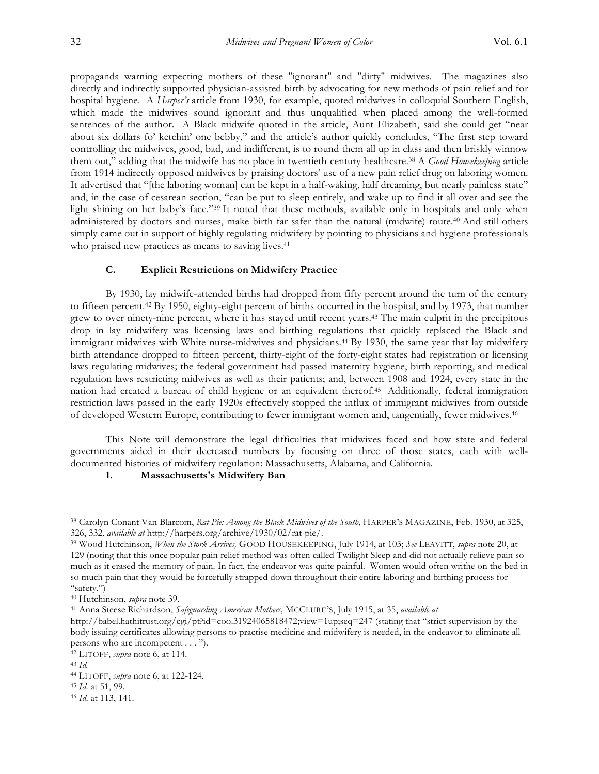propaganda warning expecting mothers of these "ignorant" and "dirty" midwives. The magazines also directly and indirectly supported physician-assisted birth by advocating for new methods of pain relief and for hospital hygiene. A *Harper's* article from 1930, for example, quoted midwives in colloquial Southern English, which made the midwives sound ignorant and thus unqualified when placed among the well-formed sentences of the author. A Black midwife quoted in the article, Aunt Elizabeth, said she could get "near about six dollars fo' ketchin' one bebby," and the article's author quickly concludes, "The first step toward controlling the midwives, good, bad, and indifferent, is to round them all up in class and then briskly winnow them out," adding that the midwife has no place in twentieth century healthcare.38 A *Good Housekeeping* article from 1914 indirectly opposed midwives by praising doctors' use of a new pain relief drug on laboring women. It advertised that "[the laboring woman] can be kept in a half-waking, half dreaming, but nearly painless state" and, in the case of cesarean section, "can be put to sleep entirely, and wake up to find it all over and see the light shining on her baby's face."39 It noted that these methods, available only in hospitals and only when administered by doctors and nurses, make birth far safer than the natural (midwife) route.40 And still others simply came out in support of highly regulating midwifery by pointing to physicians and hygiene professionals who praised new practices as means to saving lives.<sup>41</sup>

# **C. Explicit Restrictions on Midwifery Practice**

By 1930, lay midwife-attended births had dropped from fifty percent around the turn of the century to fifteen percent.42 By 1950, eighty-eight percent of births occurred in the hospital, and by 1973, that number grew to over ninety-nine percent, where it has stayed until recent years.43 The main culprit in the precipitous drop in lay midwifery was licensing laws and birthing regulations that quickly replaced the Black and immigrant midwives with White nurse-midwives and physicians.44 By 1930, the same year that lay midwifery birth attendance dropped to fifteen percent, thirty-eight of the forty-eight states had registration or licensing laws regulating midwives; the federal government had passed maternity hygiene, birth reporting, and medical regulation laws restricting midwives as well as their patients; and, between 1908 and 1924, every state in the nation had created a bureau of child hygiene or an equivalent thereof.45 Additionally, federal immigration restriction laws passed in the early 1920s effectively stopped the influx of immigrant midwives from outside of developed Western Europe, contributing to fewer immigrant women and, tangentially, fewer midwives.46

This Note will demonstrate the legal difficulties that midwives faced and how state and federal governments aided in their decreased numbers by focusing on three of those states, each with welldocumented histories of midwifery regulation: Massachusetts, Alabama, and California.

## **1. Massachusetts's Midwifery Ban**

<sup>38</sup> Carolyn Conant Van Blarcom, *Rat Pie: Among the Black Midwives of the South,* HARPER'S MAGAZINE, Feb. 1930, at 325, 326, 332, *available at* http://harpers.org/archive/1930/02/rat-pie/.

<sup>39</sup> Wood Hutchinson, *When the Stork Arrives,* GOOD HOUSEKEEPING, July 1914, at 103; *See* LEAVITT, *supra* note 20, at 129 (noting that this once popular pain relief method was often called Twilight Sleep and did not actually relieve pain so much as it erased the memory of pain. In fact, the endeavor was quite painful. Women would often writhe on the bed in so much pain that they would be forcefully strapped down throughout their entire laboring and birthing process for "safety.")

<sup>40</sup> Hutchinson, *supra* note 39.

<sup>41</sup> Anna Steese Richardson, *Safeguarding American Mothers,* MCCLURE'S, July 1915, at 35, *available at*

http://babel.hathitrust.org/cgi/pt?id=coo.31924065818472;view=1up;seq=247 (stating that "strict supervision by the body issuing certificates allowing persons to practise medicine and midwifery is needed, in the endeavor to eliminate all persons who are incompetent . . . ").

<sup>42</sup> LITOFF, *supra* note 6, at 114.

<sup>43</sup> *Id.*

<sup>44</sup> LITOFF, *supra* note 6, at 122-124.

<sup>45</sup> *Id*. at 51, 99.

<sup>46</sup> *Id*. at 113, 141.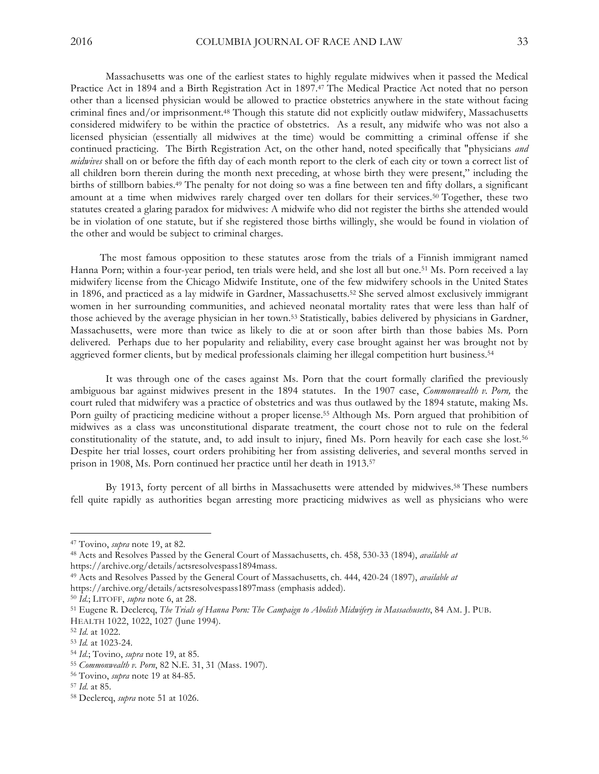Massachusetts was one of the earliest states to highly regulate midwives when it passed the Medical Practice Act in 1894 and a Birth Registration Act in 1897.47 The Medical Practice Act noted that no person other than a licensed physician would be allowed to practice obstetrics anywhere in the state without facing criminal fines and/or imprisonment.48 Though this statute did not explicitly outlaw midwifery, Massachusetts considered midwifery to be within the practice of obstetrics. As a result, any midwife who was not also a licensed physician (essentially all midwives at the time) would be committing a criminal offense if she continued practicing. The Birth Registration Act, on the other hand, noted specifically that "physicians *and midwives* shall on or before the fifth day of each month report to the clerk of each city or town a correct list of all children born therein during the month next preceding, at whose birth they were present," including the births of stillborn babies.49 The penalty for not doing so was a fine between ten and fifty dollars, a significant amount at a time when midwives rarely charged over ten dollars for their services.50 Together, these two statutes created a glaring paradox for midwives: A midwife who did not register the births she attended would be in violation of one statute, but if she registered those births willingly, she would be found in violation of the other and would be subject to criminal charges.

 The most famous opposition to these statutes arose from the trials of a Finnish immigrant named Hanna Porn; within a four-year period, ten trials were held, and she lost all but one.51 Ms. Porn received a lay midwifery license from the Chicago Midwife Institute, one of the few midwifery schools in the United States in 1896, and practiced as a lay midwife in Gardner, Massachusetts.52 She served almost exclusively immigrant women in her surrounding communities, and achieved neonatal mortality rates that were less than half of those achieved by the average physician in her town.53 Statistically, babies delivered by physicians in Gardner, Massachusetts, were more than twice as likely to die at or soon after birth than those babies Ms. Porn delivered. Perhaps due to her popularity and reliability, every case brought against her was brought not by aggrieved former clients, but by medical professionals claiming her illegal competition hurt business.54

It was through one of the cases against Ms. Porn that the court formally clarified the previously ambiguous bar against midwives present in the 1894 statutes. In the 1907 case, *Commonwealth v. Porn,* the court ruled that midwifery was a practice of obstetrics and was thus outlawed by the 1894 statute, making Ms. Porn guilty of practicing medicine without a proper license.55 Although Ms. Porn argued that prohibition of midwives as a class was unconstitutional disparate treatment, the court chose not to rule on the federal constitutionality of the statute, and, to add insult to injury, fined Ms. Porn heavily for each case she lost.56 Despite her trial losses, court orders prohibiting her from assisting deliveries, and several months served in prison in 1908, Ms. Porn continued her practice until her death in 1913.57

By 1913, forty percent of all births in Massachusetts were attended by midwives.58 These numbers fell quite rapidly as authorities began arresting more practicing midwives as well as physicians who were

https://archive.org/details/actsresolvespass1897mass (emphasis added).

<sup>47</sup> Tovino, *supra* note 19, at 82.

<sup>48</sup> Acts and Resolves Passed by the General Court of Massachusetts, ch. 458, 530-33 (1894), *available at* https://archive.org/details/actsresolvespass1894mass.

<sup>49</sup> Acts and Resolves Passed by the General Court of Massachusetts, ch. 444, 420-24 (1897), *available at*

<sup>50</sup> *Id*.; LITOFF, *supra* note 6, at 28.

<sup>51</sup> Eugene R. Declercq, *The Trials of Hanna Porn: The Campaign to Abolish Midwifery in Massachusetts*, 84 AM. J. PUB. HEALTH 1022, 1022, 1027 (June 1994).

<sup>52</sup> *Id*. at 1022.

<sup>53</sup> *Id.* at 1023-24.

<sup>54</sup> *Id*.; Tovino, *supra* note 19, at 85.

<sup>55</sup> *Commonwealth v. Porn*, 82 N.E. 31, 31 (Mass. 1907).

<sup>56</sup> Tovino, *supra* note 19 at 84-85.

<sup>57</sup> *Id*. at 85.

<sup>58</sup> Declercq, *supra* note 51 at 1026.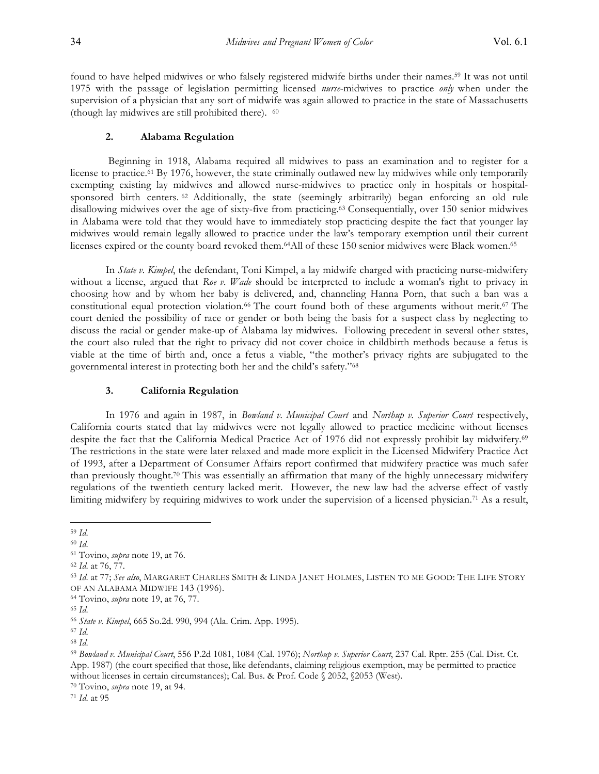found to have helped midwives or who falsely registered midwife births under their names.59 It was not until 1975 with the passage of legislation permitting licensed *nurse*-midwives to practice *only* when under the supervision of a physician that any sort of midwife was again allowed to practice in the state of Massachusetts (though lay midwives are still prohibited there). 60

## **2. Alabama Regulation**

Beginning in 1918, Alabama required all midwives to pass an examination and to register for a license to practice.61 By 1976, however, the state criminally outlawed new lay midwives while only temporarily exempting existing lay midwives and allowed nurse-midwives to practice only in hospitals or hospitalsponsored birth centers. <sup>62</sup> Additionally, the state (seemingly arbitrarily) began enforcing an old rule disallowing midwives over the age of sixty-five from practicing.63 Consequentially, over 150 senior midwives in Alabama were told that they would have to immediately stop practicing despite the fact that younger lay midwives would remain legally allowed to practice under the law's temporary exemption until their current licenses expired or the county board revoked them.<sup>64</sup>All of these 150 senior midwives were Black women.<sup>65</sup>

In *State v. Kimpel*, the defendant, Toni Kimpel, a lay midwife charged with practicing nurse-midwifery without a license, argued that *Roe v. Wade* should be interpreted to include a woman's right to privacy in choosing how and by whom her baby is delivered, and, channeling Hanna Porn, that such a ban was a constitutional equal protection violation.<sup>66</sup> The court found both of these arguments without merit.<sup>67</sup> The court denied the possibility of race or gender or both being the basis for a suspect class by neglecting to discuss the racial or gender make-up of Alabama lay midwives. Following precedent in several other states, the court also ruled that the right to privacy did not cover choice in childbirth methods because a fetus is viable at the time of birth and, once a fetus a viable, "the mother's privacy rights are subjugated to the governmental interest in protecting both her and the child's safety."68

#### **3. California Regulation**

In 1976 and again in 1987, in *Bowland v. Municipal Court* and *Northup v. Superior Court* respectively, California courts stated that lay midwives were not legally allowed to practice medicine without licenses despite the fact that the California Medical Practice Act of 1976 did not expressly prohibit lay midwifery.<sup>69</sup> The restrictions in the state were later relaxed and made more explicit in the Licensed Midwifery Practice Act of 1993, after a Department of Consumer Affairs report confirmed that midwifery practice was much safer than previously thought.70 This was essentially an affirmation that many of the highly unnecessary midwifery regulations of the twentieth century lacked merit. However, the new law had the adverse effect of vastly limiting midwifery by requiring midwives to work under the supervision of a licensed physician.71 As a result,

<sup>62</sup> *Id*. at 76, 77.

<sup>70</sup> Tovino, *supra* note 19, at 94.

<sup>71</sup> *Id*. at 95

 $\overline{a}$ <sup>59</sup> *Id*.

<sup>60</sup> *Id*.

<sup>61</sup> Tovino, *supra* note 19, at 76.

<sup>63</sup> *Id*. at 77; *See also*, MARGARET CHARLES SMITH & LINDA JANET HOLMES, LISTEN TO ME GOOD: THE LIFE STORY OF AN ALABAMA MIDWIFE 143 (1996).

<sup>64</sup> Tovino, *supra* note 19, at 76, 77.

<sup>65</sup> *Id*.

<sup>66</sup> *State v. Kimpel*, 665 So.2d. 990, 994 (Ala. Crim. App. 1995).

<sup>67</sup> *Id*.

<sup>68</sup> *Id*.

<sup>69</sup> *Bowland v. Municipal Court*, 556 P.2d 1081, 1084 (Cal. 1976); *Northup v. Superior Court*, 237 Cal. Rptr. 255 (Cal. Dist. Ct. App. 1987) (the court specified that those, like defendants, claiming religious exemption, may be permitted to practice without licenses in certain circumstances); Cal. Bus. & Prof. Code § 2052, §2053 (West).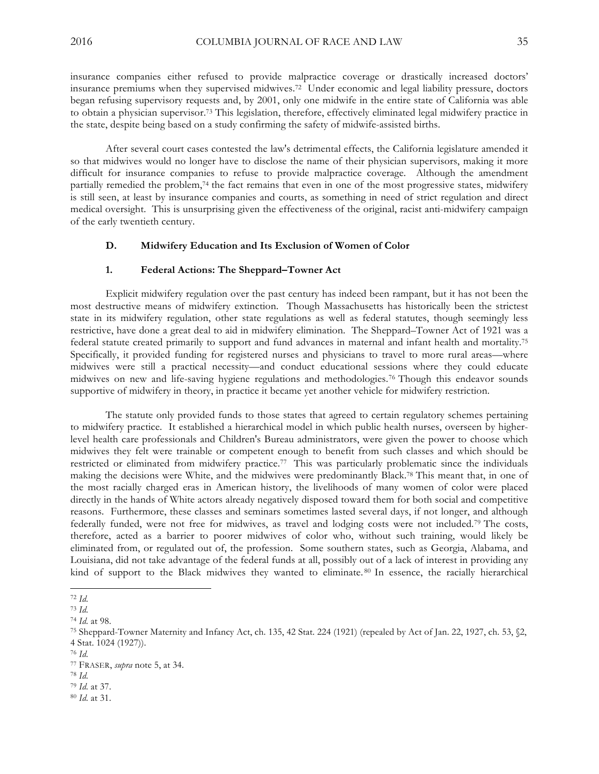insurance companies either refused to provide malpractice coverage or drastically increased doctors' insurance premiums when they supervised midwives.72 Under economic and legal liability pressure, doctors began refusing supervisory requests and, by 2001, only one midwife in the entire state of California was able to obtain a physician supervisor.73 This legislation, therefore, effectively eliminated legal midwifery practice in the state, despite being based on a study confirming the safety of midwife-assisted births.

After several court cases contested the law's detrimental effects, the California legislature amended it so that midwives would no longer have to disclose the name of their physician supervisors, making it more difficult for insurance companies to refuse to provide malpractice coverage. Although the amendment partially remedied the problem,74 the fact remains that even in one of the most progressive states, midwifery is still seen, at least by insurance companies and courts, as something in need of strict regulation and direct medical oversight. This is unsurprising given the effectiveness of the original, racist anti-midwifery campaign of the early twentieth century.

#### **D. Midwifery Education and Its Exclusion of Women of Color**

## **1. Federal Actions: The Sheppard–Towner Act**

Explicit midwifery regulation over the past century has indeed been rampant, but it has not been the most destructive means of midwifery extinction. Though Massachusetts has historically been the strictest state in its midwifery regulation, other state regulations as well as federal statutes, though seemingly less restrictive, have done a great deal to aid in midwifery elimination. The Sheppard–Towner Act of 1921 was a federal statute created primarily to support and fund advances in maternal and infant health and mortality.75 Specifically, it provided funding for registered nurses and physicians to travel to more rural areas—where midwives were still a practical necessity—and conduct educational sessions where they could educate midwives on new and life-saving hygiene regulations and methodologies.76 Though this endeavor sounds supportive of midwifery in theory, in practice it became yet another vehicle for midwifery restriction.

The statute only provided funds to those states that agreed to certain regulatory schemes pertaining to midwifery practice. It established a hierarchical model in which public health nurses, overseen by higherlevel health care professionals and Children's Bureau administrators, were given the power to choose which midwives they felt were trainable or competent enough to benefit from such classes and which should be restricted or eliminated from midwifery practice.77 This was particularly problematic since the individuals making the decisions were White, and the midwives were predominantly Black.78 This meant that, in one of the most racially charged eras in American history, the livelihoods of many women of color were placed directly in the hands of White actors already negatively disposed toward them for both social and competitive reasons. Furthermore, these classes and seminars sometimes lasted several days, if not longer, and although federally funded, were not free for midwives, as travel and lodging costs were not included.79 The costs, therefore, acted as a barrier to poorer midwives of color who, without such training, would likely be eliminated from, or regulated out of, the profession. Some southern states, such as Georgia, Alabama, and Louisiana, did not take advantage of the federal funds at all, possibly out of a lack of interest in providing any kind of support to the Black midwives they wanted to eliminate. <sup>80</sup> In essence, the racially hierarchical

 $\overline{a}$ <sup>72</sup> *Id*.

<sup>73</sup> *Id*.

<sup>74</sup> *Id*. at 98.

<sup>75</sup> Sheppard-Towner Maternity and Infancy Act, ch. 135, 42 Stat. 224 (1921) (repealed by Act of Jan. 22, 1927, ch. 53, §2, 4 Stat. 1024 (1927)).

<sup>76</sup> *Id*.

<sup>77</sup> FRASER, *supra* note 5, at 34.

<sup>78</sup> *Id*.

<sup>79</sup> *Id*. at 37.

<sup>80</sup> *Id*. at 31.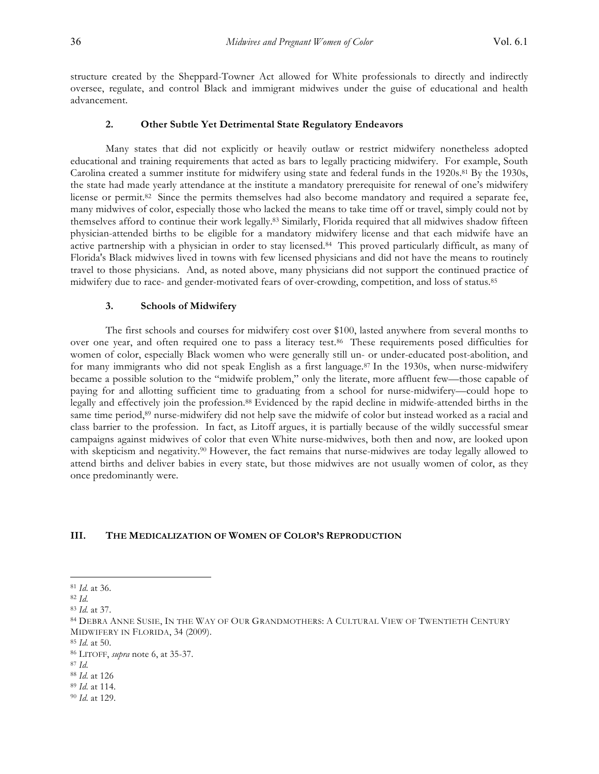structure created by the Sheppard-Towner Act allowed for White professionals to directly and indirectly oversee, regulate, and control Black and immigrant midwives under the guise of educational and health advancement.

## **2. Other Subtle Yet Detrimental State Regulatory Endeavors**

Many states that did not explicitly or heavily outlaw or restrict midwifery nonetheless adopted educational and training requirements that acted as bars to legally practicing midwifery. For example, South Carolina created a summer institute for midwifery using state and federal funds in the 1920s.<sup>81</sup> By the 1930s, the state had made yearly attendance at the institute a mandatory prerequisite for renewal of one's midwifery license or permit.<sup>82</sup> Since the permits themselves had also become mandatory and required a separate fee, many midwives of color, especially those who lacked the means to take time off or travel, simply could not by themselves afford to continue their work legally.83 Similarly, Florida required that all midwives shadow fifteen physician-attended births to be eligible for a mandatory midwifery license and that each midwife have an active partnership with a physician in order to stay licensed.84 This proved particularly difficult, as many of Florida's Black midwives lived in towns with few licensed physicians and did not have the means to routinely travel to those physicians. And, as noted above, many physicians did not support the continued practice of midwifery due to race- and gender-motivated fears of over-crowding, competition, and loss of status.85

#### **3. Schools of Midwifery**

The first schools and courses for midwifery cost over \$100, lasted anywhere from several months to over one year, and often required one to pass a literacy test.86 These requirements posed difficulties for women of color, especially Black women who were generally still un- or under-educated post-abolition, and for many immigrants who did not speak English as a first language.87 In the 1930s, when nurse-midwifery became a possible solution to the "midwife problem," only the literate, more affluent few—those capable of paying for and allotting sufficient time to graduating from a school for nurse-midwifery—could hope to legally and effectively join the profession.88 Evidenced by the rapid decline in midwife-attended births in the same time period,<sup>89</sup> nurse-midwifery did not help save the midwife of color but instead worked as a racial and class barrier to the profession. In fact, as Litoff argues, it is partially because of the wildly successful smear campaigns against midwives of color that even White nurse-midwives, both then and now, are looked upon with skepticism and negativity.<sup>90</sup> However, the fact remains that nurse-midwives are today legally allowed to attend births and deliver babies in every state, but those midwives are not usually women of color, as they once predominantly were.

## **III. THE MEDICALIZATION OF WOMEN OF COLOR'S REPRODUCTION**

 $\overline{a}$ 

<sup>89</sup> *Id*. at 114.

<sup>81</sup> *Id*. at 36.

<sup>82</sup> *Id*.

<sup>83</sup> *Id*. at 37.

<sup>84</sup> DEBRA ANNE SUSIE, IN THE WAY OF OUR GRANDMOTHERS: A CULTURAL VIEW OF TWENTIETH CENTURY MIDWIFERY IN FLORIDA, 34 (2009).

<sup>85</sup> *Id*. at 50.

<sup>86</sup> LITOFF, *supra* note 6, at 35-37.

<sup>87</sup> *Id*.

<sup>88</sup> *Id*. at 126

<sup>90</sup> *Id*. at 129.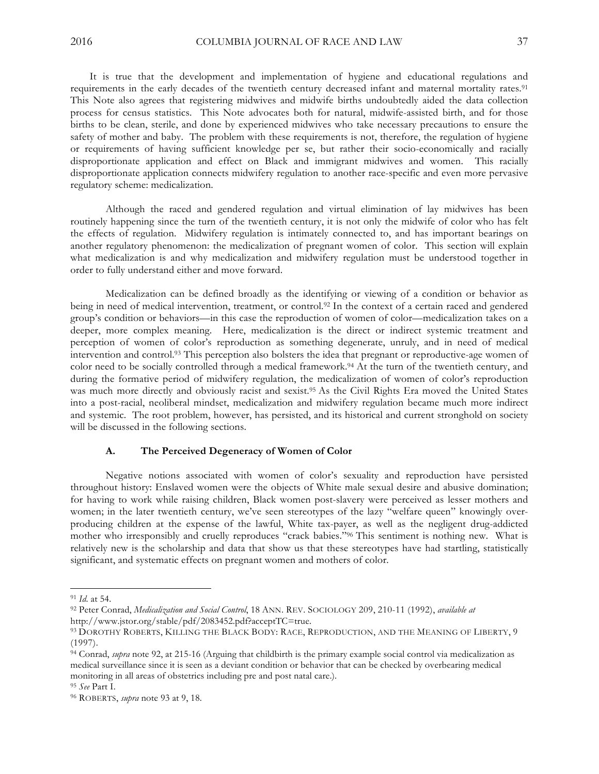It is true that the development and implementation of hygiene and educational regulations and requirements in the early decades of the twentieth century decreased infant and maternal mortality rates.91 This Note also agrees that registering midwives and midwife births undoubtedly aided the data collection process for census statistics. This Note advocates both for natural, midwife-assisted birth, and for those births to be clean, sterile, and done by experienced midwives who take necessary precautions to ensure the safety of mother and baby. The problem with these requirements is not, therefore, the regulation of hygiene or requirements of having sufficient knowledge per se, but rather their socio-economically and racially disproportionate application and effect on Black and immigrant midwives and women. This racially disproportionate application connects midwifery regulation to another race-specific and even more pervasive regulatory scheme: medicalization.

Although the raced and gendered regulation and virtual elimination of lay midwives has been routinely happening since the turn of the twentieth century, it is not only the midwife of color who has felt the effects of regulation. Midwifery regulation is intimately connected to, and has important bearings on another regulatory phenomenon: the medicalization of pregnant women of color. This section will explain what medicalization is and why medicalization and midwifery regulation must be understood together in order to fully understand either and move forward.

Medicalization can be defined broadly as the identifying or viewing of a condition or behavior as being in need of medical intervention, treatment, or control.<sup>92</sup> In the context of a certain raced and gendered group's condition or behaviors—in this case the reproduction of women of color—medicalization takes on a deeper, more complex meaning. Here, medicalization is the direct or indirect systemic treatment and perception of women of color's reproduction as something degenerate, unruly, and in need of medical intervention and control.93 This perception also bolsters the idea that pregnant or reproductive-age women of color need to be socially controlled through a medical framework.94 At the turn of the twentieth century, and during the formative period of midwifery regulation, the medicalization of women of color's reproduction was much more directly and obviously racist and sexist.<sup>95</sup> As the Civil Rights Era moved the United States into a post-racial, neoliberal mindset, medicalization and midwifery regulation became much more indirect and systemic. The root problem, however, has persisted, and its historical and current stronghold on society will be discussed in the following sections.

## **A. The Perceived Degeneracy of Women of Color**

Negative notions associated with women of color's sexuality and reproduction have persisted throughout history: Enslaved women were the objects of White male sexual desire and abusive domination; for having to work while raising children, Black women post-slavery were perceived as lesser mothers and women; in the later twentieth century, we've seen stereotypes of the lazy "welfare queen" knowingly overproducing children at the expense of the lawful, White tax-payer, as well as the negligent drug-addicted mother who irresponsibly and cruelly reproduces "crack babies."96 This sentiment is nothing new. What is relatively new is the scholarship and data that show us that these stereotypes have had startling, statistically significant, and systematic effects on pregnant women and mothers of color.

<sup>91</sup> *Id*. at 54.

<sup>92</sup> Peter Conrad, *Medicalization and Social Control*, 18 ANN. REV. SOCIOLOGY 209, 210-11 (1992), *available at* http://www.jstor.org/stable/pdf/2083452.pdf?acceptTC=true.

<sup>93</sup> DOROTHY ROBERTS, KILLING THE BLACK BODY: RACE, REPRODUCTION, AND THE MEANING OF LIBERTY, 9 (1997).

<sup>94</sup> Conrad, *supra* note 92, at 215-16 (Arguing that childbirth is the primary example social control via medicalization as medical surveillance since it is seen as a deviant condition or behavior that can be checked by overbearing medical monitoring in all areas of obstetrics including pre and post natal care.).

<sup>95</sup> *See* Part I.

<sup>96</sup> ROBERTS, *supra* note 93 at 9, 18.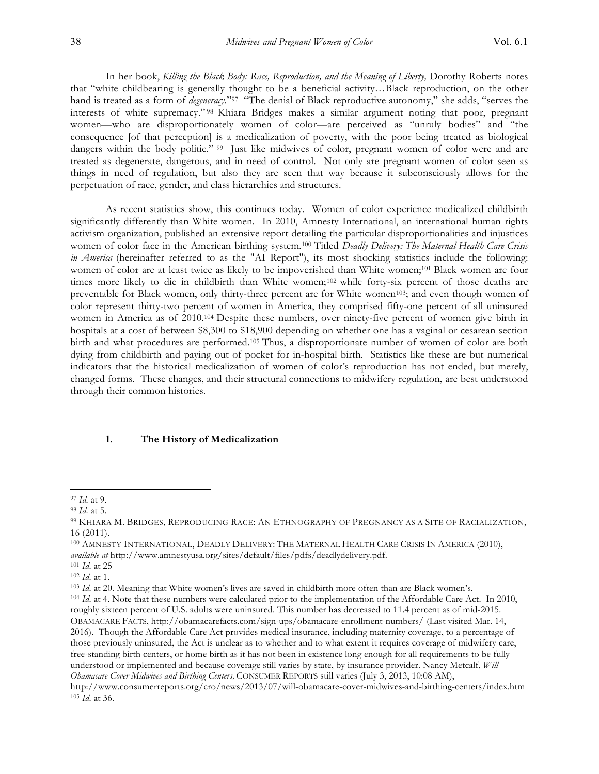In her book, *Killing the Black Body: Race, Reproduction, and the Meaning of Liberty,* Dorothy Roberts notes that "white childbearing is generally thought to be a beneficial activity…Black reproduction, on the other hand is treated as a form of *degeneracy*."97 "The denial of Black reproductive autonomy," she adds, "serves the interests of white supremacy." <sup>98</sup> Khiara Bridges makes a similar argument noting that poor, pregnant women—who are disproportionately women of color—are perceived as "unruly bodies" and "the consequence [of that perception] is a medicalization of poverty, with the poor being treated as biological dangers within the body politic." <sup>99</sup> Just like midwives of color, pregnant women of color were and are treated as degenerate, dangerous, and in need of control. Not only are pregnant women of color seen as things in need of regulation, but also they are seen that way because it subconsciously allows for the perpetuation of race, gender, and class hierarchies and structures.

As recent statistics show, this continues today. Women of color experience medicalized childbirth significantly differently than White women. In 2010, Amnesty International, an international human rights activism organization, published an extensive report detailing the particular disproportionalities and injustices women of color face in the American birthing system*.* <sup>100</sup> Titled *Deadly Delivery: The Maternal Health Care Crisis in America* (hereinafter referred to as the "AI Report"), its most shocking statistics include the following: women of color are at least twice as likely to be impoverished than White women;<sup>101</sup> Black women are four times more likely to die in childbirth than White women;102 while forty-six percent of those deaths are preventable for Black women, only thirty-three percent are for White women103; and even though women of color represent thirty-two percent of women in America, they comprised fifty-one percent of all uninsured women in America as of 2010. <sup>104</sup> Despite these numbers, over ninety-five percent of women give birth in hospitals at a cost of between \$8,300 to \$18,900 depending on whether one has a vaginal or cesarean section birth and what procedures are performed.105 Thus, a disproportionate number of women of color are both dying from childbirth and paying out of pocket for in-hospital birth. Statistics like these are but numerical indicators that the historical medicalization of women of color's reproduction has not ended, but merely, changed forms. These changes, and their structural connections to midwifery regulation, are best understood through their common histories.

#### **1. The History of Medicalization**

<sup>97</sup> *Id*. at 9.

<sup>98</sup> *Id*. at 5.

<sup>99</sup> KHIARA M. BRIDGES, REPRODUCING RACE: AN ETHNOGRAPHY OF PREGNANCY AS A SITE OF RACIALIZATION, 16 (2011).

<sup>100</sup> AMNESTY INTERNATIONAL, DEADLY DELIVERY: THE MATERNAL HEALTH CARE CRISIS IN AMERICA (2010), *available at* http://www.amnestyusa.org/sites/default/files/pdfs/deadlydelivery.pdf.

<sup>101</sup> *Id*. at 25

<sup>102</sup> *Id*. at 1.

<sup>103</sup> *Id*. at 20. Meaning that White women's lives are saved in childbirth more often than are Black women's.

<sup>104</sup> *Id*. at 4. Note that these numbers were calculated prior to the implementation of the Affordable Care Act. In 2010, roughly sixteen percent of U.S. adults were uninsured. This number has decreased to 11.4 percent as of mid-2015. OBAMACARE FACTS, http://obamacarefacts.com/sign-ups/obamacare-enrollment-numbers/ (Last visited Mar. 14, 2016). Though the Affordable Care Act provides medical insurance, including maternity coverage, to a percentage of those previously uninsured, the Act is unclear as to whether and to what extent it requires coverage of midwifery care, free-standing birth centers, or home birth as it has not been in existence long enough for all requirements to be fully understood or implemented and because coverage still varies by state, by insurance provider. Nancy Metcalf, *Will Obamacare Cover Midwives and Birthing Centers,* CONSUMER REPORTS still varies (July 3, 2013, 10:08 AM), http://www.consumerreports.org/cro/news/2013/07/will-obamacare-cover-midwives-and-birthing-centers/index.htm

<sup>105</sup> *Id*. at 36.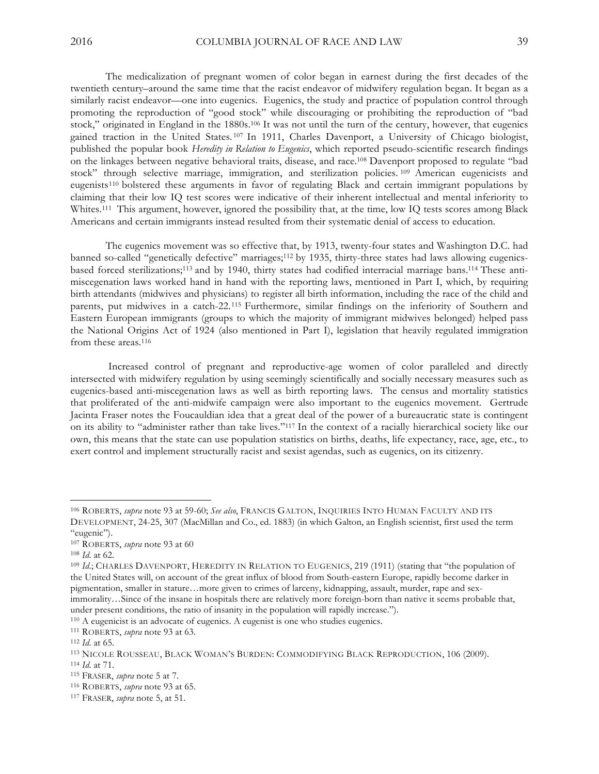The medicalization of pregnant women of color began in earnest during the first decades of the twentieth century–around the same time that the racist endeavor of midwifery regulation began. It began as a similarly racist endeavor—one into eugenics. Eugenics, the study and practice of population control through promoting the reproduction of "good stock" while discouraging or prohibiting the reproduction of "bad stock," originated in England in the 1880s.106 It was not until the turn of the century, however, that eugenics gained traction in the United States. <sup>107</sup> In 1911, Charles Davenport, a University of Chicago biologist, published the popular book *Heredity in Relation to Eugenics*, which reported pseudo-scientific research findings on the linkages between negative behavioral traits, disease, and race.108 Davenport proposed to regulate "bad stock" through selective marriage, immigration, and sterilization policies. <sup>109</sup> American eugenicists and eugenists110 bolstered these arguments in favor of regulating Black and certain immigrant populations by claiming that their low IQ test scores were indicative of their inherent intellectual and mental inferiority to Whites.<sup>111</sup> This argument, however, ignored the possibility that, at the time, low IQ tests scores among Black Americans and certain immigrants instead resulted from their systematic denial of access to education.

The eugenics movement was so effective that, by 1913, twenty-four states and Washington D.C. had banned so-called "genetically defective" marriages;<sup>112</sup> by 1935, thirty-three states had laws allowing eugenicsbased forced sterilizations;<sup>113</sup> and by 1940, thirty states had codified interracial marriage bans.<sup>114</sup> These antimiscegenation laws worked hand in hand with the reporting laws, mentioned in Part I, which, by requiring birth attendants (midwives and physicians) to register all birth information, including the race of the child and parents, put midwives in a catch-22.115 Furthermore, similar findings on the inferiority of Southern and Eastern European immigrants (groups to which the majority of immigrant midwives belonged) helped pass the National Origins Act of 1924 (also mentioned in Part I), legislation that heavily regulated immigration from these areas.116

Increased control of pregnant and reproductive-age women of color paralleled and directly intersected with midwifery regulation by using seemingly scientifically and socially necessary measures such as eugenics-based anti-miscegenation laws as well as birth reporting laws. The census and mortality statistics that proliferated of the anti-midwife campaign were also important to the eugenics movement. Gertrude Jacinta Fraser notes the Foucauldian idea that a great deal of the power of a bureaucratic state is contingent on its ability to "administer rather than take lives."117 In the context of a racially hierarchical society like our own, this means that the state can use population statistics on births, deaths, life expectancy, race, age, etc., to exert control and implement structurally racist and sexist agendas, such as eugenics, on its citizenry.

 $\overline{a}$ 

<sup>111</sup> ROBERTS, *supra* note 93 at 63.

<sup>106</sup> ROBERTS, *supra* note 93 at 59-60; *See also*, FRANCIS GALTON, INQUIRIES INTO HUMAN FACULTY AND ITS DEVELOPMENT, 24-25, 307 (MacMillan and Co., ed. 1883) (in which Galton, an English scientist, first used the term "eugenic").

<sup>107</sup> ROBERTS, *supra* note 93 at 60

<sup>108</sup> *Id*. at 62.

<sup>109</sup> *Id*.; CHARLES DAVENPORT, HEREDITY IN RELATION TO EUGENICS, 219 (1911) (stating that "the population of the United States will, on account of the great influx of blood from South-eastern Europe, rapidly become darker in pigmentation, smaller in stature…more given to crimes of larceny, kidnapping, assault, murder, rape and seximmorality…Since of the insane in hospitals there are relatively more foreign-born than native it seems probable that, under present conditions, the ratio of insanity in the population will rapidly increase.").

<sup>110</sup> A eugenicist is an advocate of eugenics. A eugenist is one who studies eugenics.

<sup>112</sup> *Id*. at 65.

<sup>113</sup> NICOLE ROUSSEAU, BLACK WOMAN'S BURDEN: COMMODIFYING BLACK REPRODUCTION, 106 (2009).

<sup>114</sup> *Id*. at 71.

<sup>115</sup> FRASER, *supra* note 5 at 7.

<sup>116</sup> ROBERTS, *supra* note 93 at 65.

<sup>117</sup> FRASER, *supra* note 5, at 51.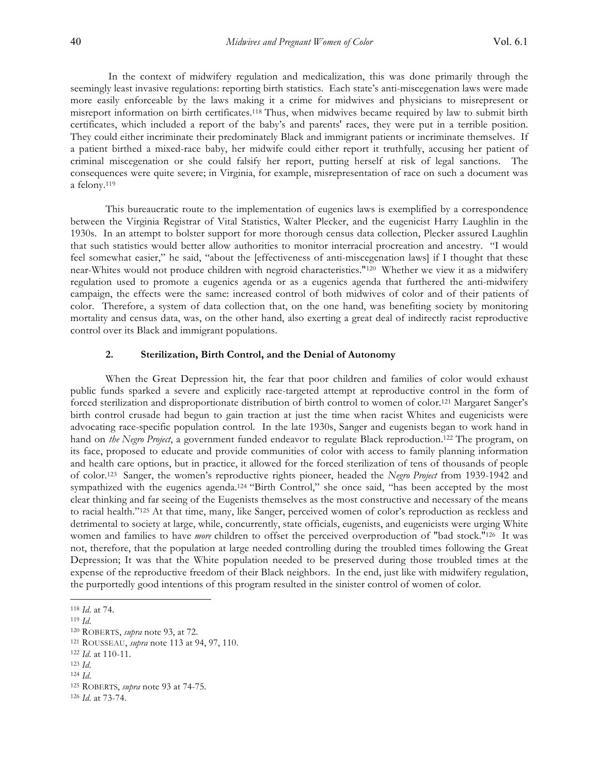In the context of midwifery regulation and medicalization, this was done primarily through the seemingly least invasive regulations: reporting birth statistics. Each state's anti-miscegenation laws were made more easily enforceable by the laws making it a crime for midwives and physicians to misrepresent or misreport information on birth certificates.118 Thus, when midwives became required by law to submit birth certificates, which included a report of the baby's and parents' races, they were put in a terrible position. They could either incriminate their predominately Black and immigrant patients or incriminate themselves. If a patient birthed a mixed-race baby, her midwife could either report it truthfully, accusing her patient of criminal miscegenation or she could falsify her report, putting herself at risk of legal sanctions. The consequences were quite severe; in Virginia, for example, misrepresentation of race on such a document was a felony.119

This bureaucratic route to the implementation of eugenics laws is exemplified by a correspondence between the Virginia Registrar of Vital Statistics, Walter Plecker, and the eugenicist Harry Laughlin in the 1930s. In an attempt to bolster support for more thorough census data collection, Plecker assured Laughlin that such statistics would better allow authorities to monitor interracial procreation and ancestry. "I would feel somewhat easier," he said, "about the [effectiveness of anti-miscegenation laws] if I thought that these near-Whites would not produce children with negroid characteristics."120 Whether we view it as a midwifery regulation used to promote a eugenics agenda or as a eugenics agenda that furthered the anti-midwifery campaign, the effects were the same: increased control of both midwives of color and of their patients of color. Therefore, a system of data collection that, on the one hand, was benefiting society by monitoring mortality and census data, was, on the other hand, also exerting a great deal of indirectly racist reproductive control over its Black and immigrant populations.

# **2. Sterilization, Birth Control, and the Denial of Autonomy**

When the Great Depression hit, the fear that poor children and families of color would exhaust public funds sparked a severe and explicitly race-targeted attempt at reproductive control in the form of forced sterilization and disproportionate distribution of birth control to women of color.121 Margaret Sanger's birth control crusade had begun to gain traction at just the time when racist Whites and eugenicists were advocating race-specific population control. In the late 1930s, Sanger and eugenists began to work hand in hand on *the Negro Project*, a government funded endeavor to regulate Black reproduction.122 The program, on its face, proposed to educate and provide communities of color with access to family planning information and health care options, but in practice, it allowed for the forced sterilization of tens of thousands of people of color.123 Sanger, the women's reproductive rights pioneer, headed the *Negro Project* from 1939-1942 and sympathized with the eugenics agenda.124 "Birth Control," she once said, "has been accepted by the most clear thinking and far seeing of the Eugenists themselves as the most constructive and necessary of the means to racial health."125 At that time, many, like Sanger, perceived women of color's reproduction as reckless and detrimental to society at large, while, concurrently, state officials, eugenists, and eugenicists were urging White women and families to have *more* children to offset the perceived overproduction of "bad stock."126 It was not, therefore, that the population at large needed controlling during the troubled times following the Great Depression; It was that the White population needed to be preserved during those troubled times at the expense of the reproductive freedom of their Black neighbors. In the end, just like with midwifery regulation, the purportedly good intentions of this program resulted in the sinister control of women of color.

<sup>118</sup> *Id*. at 74.

<sup>119</sup> *Id*.

<sup>120</sup> ROBERTS, *supra* note 93, at 72.

<sup>121</sup> ROUSSEAU, *supra* note 113 at 94, 97, 110.

<sup>122</sup> *Id*. at 110-11.

<sup>123</sup> *Id*.

<sup>124</sup> *Id*.

<sup>125</sup> ROBERTS, *supra* note 93 at 74-75.

<sup>126</sup> *Id*. at 73-74.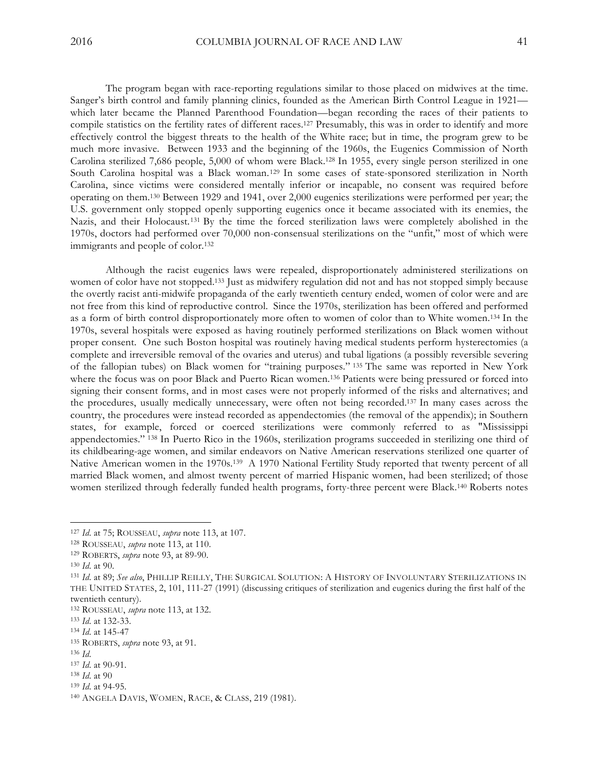The program began with race-reporting regulations similar to those placed on midwives at the time. Sanger's birth control and family planning clinics, founded as the American Birth Control League in 1921 which later became the Planned Parenthood Foundation—began recording the races of their patients to compile statistics on the fertility rates of different races.127 Presumably, this was in order to identify and more effectively control the biggest threats to the health of the White race; but in time, the program grew to be much more invasive. Between 1933 and the beginning of the 1960s, the Eugenics Commission of North Carolina sterilized 7,686 people, 5,000 of whom were Black.128 In 1955, every single person sterilized in one South Carolina hospital was a Black woman. <sup>129</sup> In some cases of state-sponsored sterilization in North Carolina, since victims were considered mentally inferior or incapable, no consent was required before operating on them.130 Between 1929 and 1941, over 2,000 eugenics sterilizations were performed per year; the U.S. government only stopped openly supporting eugenics once it became associated with its enemies, the Nazis, and their Holocaust.131 By the time the forced sterilization laws were completely abolished in the 1970s, doctors had performed over 70,000 non-consensual sterilizations on the "unfit," most of which were immigrants and people of color.132

Although the racist eugenics laws were repealed, disproportionately administered sterilizations on women of color have not stopped.133 Just as midwifery regulation did not and has not stopped simply because the overtly racist anti-midwife propaganda of the early twentieth century ended, women of color were and are not free from this kind of reproductive control. Since the 1970s, sterilization has been offered and performed as a form of birth control disproportionately more often to women of color than to White women.134 In the 1970s, several hospitals were exposed as having routinely performed sterilizations on Black women without proper consent. One such Boston hospital was routinely having medical students perform hysterectomies (a complete and irreversible removal of the ovaries and uterus) and tubal ligations (a possibly reversible severing of the fallopian tubes) on Black women for "training purposes." <sup>135</sup> The same was reported in New York where the focus was on poor Black and Puerto Rican women.<sup>136</sup> Patients were being pressured or forced into signing their consent forms, and in most cases were not properly informed of the risks and alternatives; and the procedures, usually medically unnecessary, were often not being recorded.137 In many cases across the country, the procedures were instead recorded as appendectomies (the removal of the appendix); in Southern states, for example, forced or coerced sterilizations were commonly referred to as "Mississippi appendectomies." <sup>138</sup> In Puerto Rico in the 1960s, sterilization programs succeeded in sterilizing one third of its childbearing-age women, and similar endeavors on Native American reservations sterilized one quarter of Native American women in the 1970s.139 A 1970 National Fertility Study reported that twenty percent of all married Black women, and almost twenty percent of married Hispanic women, had been sterilized; of those women sterilized through federally funded health programs, forty-three percent were Black.140 Roberts notes

<sup>127</sup> *Id*. at 75; ROUSSEAU, *supra* note 113, at 107.

<sup>128</sup> ROUSSEAU, *supra* note 113, at 110.

<sup>129</sup> ROBERTS, *supra* note 93, at 89-90.

<sup>130</sup> *Id*. at 90.

<sup>131</sup> *Id*. at 89; *See also*, PHILLIP REILLY, THE SURGICAL SOLUTION: A HISTORY OF INVOLUNTARY STERILIZATIONS IN THE UNITED STATES, 2, 101, 111-27 (1991) (discussing critiques of sterilization and eugenics during the first half of the twentieth century).

<sup>132</sup> ROUSSEAU, *supra* note 113, at 132.

<sup>133</sup> *Id*. at 132-33.

<sup>134</sup> *Id*. at 145-47

<sup>135</sup> ROBERTS, *supra* note 93, at 91.

<sup>136</sup> *Id*.

<sup>137</sup> *Id*. at 90-91.

<sup>138</sup> *Id*. at 90

<sup>139</sup> *Id*. at 94-95.

<sup>140</sup> ANGELA DAVIS, WOMEN, RACE, & CLASS, 219 (1981).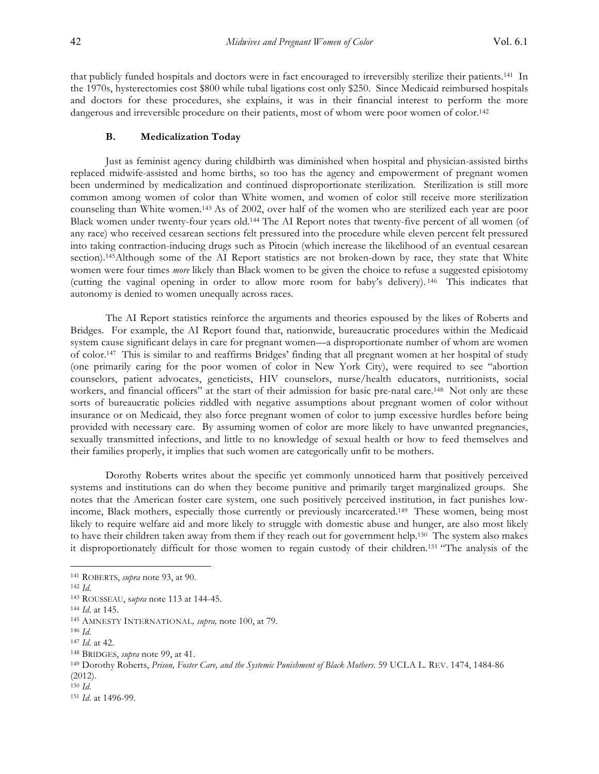that publicly funded hospitals and doctors were in fact encouraged to irreversibly sterilize their patients.141 In the 1970s, hysterectomies cost \$800 while tubal ligations cost only \$250. Since Medicaid reimbursed hospitals and doctors for these procedures, she explains, it was in their financial interest to perform the more dangerous and irreversible procedure on their patients, most of whom were poor women of color.142

#### **B. Medicalization Today**

Just as feminist agency during childbirth was diminished when hospital and physician-assisted births replaced midwife-assisted and home births, so too has the agency and empowerment of pregnant women been undermined by medicalization and continued disproportionate sterilization. Sterilization is still more common among women of color than White women, and women of color still receive more sterilization counseling than White women.143 As of 2002, over half of the women who are sterilized each year are poor Black women under twenty-four years old.144 The AI Report notes that twenty-five percent of all women (of any race) who received cesarean sections felt pressured into the procedure while eleven percent felt pressured into taking contraction-inducing drugs such as Pitocin (which increase the likelihood of an eventual cesarean section).<sup>145</sup>Although some of the AI Report statistics are not broken-down by race, they state that White women were four times *more* likely than Black women to be given the choice to refuse a suggested episiotomy (cutting the vaginal opening in order to allow more room for baby's delivery). 146 This indicates that autonomy is denied to women unequally across races.

The AI Report statistics reinforce the arguments and theories espoused by the likes of Roberts and Bridges. For example, the AI Report found that, nationwide, bureaucratic procedures within the Medicaid system cause significant delays in care for pregnant women—a disproportionate number of whom are women of color.147 This is similar to and reaffirms Bridges' finding that all pregnant women at her hospital of study (one primarily caring for the poor women of color in New York City), were required to see "abortion counselors, patient advocates, geneticists, HIV counselors, nurse/health educators, nutritionists, social workers, and financial officers" at the start of their admission for basic pre-natal care.<sup>148</sup> Not only are these sorts of bureaucratic policies riddled with negative assumptions about pregnant women of color without insurance or on Medicaid, they also force pregnant women of color to jump excessive hurdles before being provided with necessary care. By assuming women of color are more likely to have unwanted pregnancies, sexually transmitted infections, and little to no knowledge of sexual health or how to feed themselves and their families properly, it implies that such women are categorically unfit to be mothers.

Dorothy Roberts writes about the specific yet commonly unnoticed harm that positively perceived systems and institutions can do when they become punitive and primarily target marginalized groups. She notes that the American foster care system, one such positively perceived institution, in fact punishes lowincome, Black mothers, especially those currently or previously incarcerated.149 These women, being most likely to require welfare aid and more likely to struggle with domestic abuse and hunger, are also most likely to have their children taken away from them if they reach out for government help.150 The system also makes it disproportionately difficult for those women to regain custody of their children.151 "The analysis of the

 $\overline{a}$ 

<sup>147</sup> *Id*. at 42.

<sup>141</sup> ROBERTS, *supra* note 93, at 90.

<sup>142</sup> *Id*.

<sup>143</sup> ROUSSEAU, s*upra* note 113 at 144-45.

<sup>144</sup> *Id*. at 145.

<sup>145</sup> AMNESTY INTERNATIONAL*, supra,* note 100, at 79.

<sup>146</sup> *Id*.

<sup>148</sup> BRIDGES, *supra* note 99, at 41.

<sup>149</sup> Dorothy Roberts, *Prison, Foster Care, and the Systemic Punishment of Black Mothers*. 59 UCLA L. REV. 1474, 1484-86 (2012).

<sup>150</sup> *Id*.

<sup>151</sup> *Id*. at 1496-99.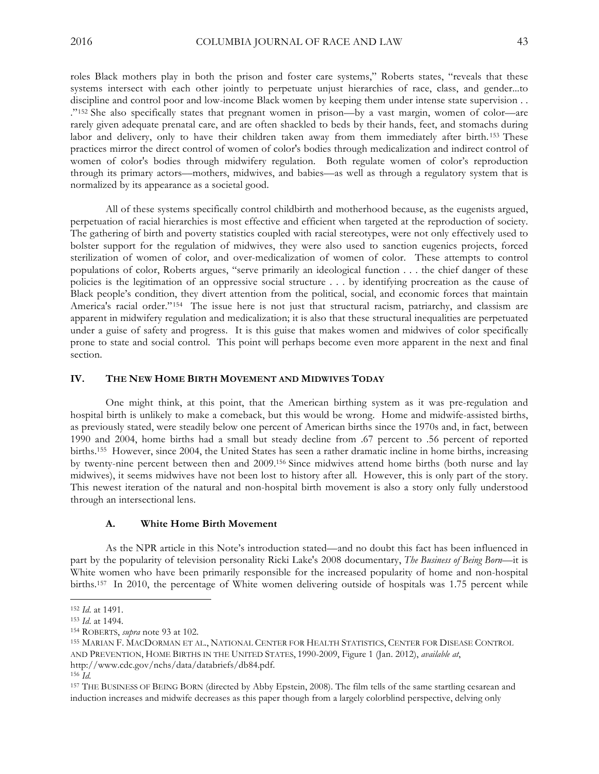roles Black mothers play in both the prison and foster care systems," Roberts states, "reveals that these systems intersect with each other jointly to perpetuate unjust hierarchies of race, class, and gender...to discipline and control poor and low-income Black women by keeping them under intense state supervision . . ."152 She also specifically states that pregnant women in prison—by a vast margin, women of color—are rarely given adequate prenatal care, and are often shackled to beds by their hands, feet, and stomachs during labor and delivery, only to have their children taken away from them immediately after birth. <sup>153</sup> These practices mirror the direct control of women of color's bodies through medicalization and indirect control of women of color's bodies through midwifery regulation. Both regulate women of color's reproduction through its primary actors––mothers, midwives, and babies––as well as through a regulatory system that is normalized by its appearance as a societal good.

All of these systems specifically control childbirth and motherhood because, as the eugenists argued, perpetuation of racial hierarchies is most effective and efficient when targeted at the reproduction of society. The gathering of birth and poverty statistics coupled with racial stereotypes, were not only effectively used to bolster support for the regulation of midwives, they were also used to sanction eugenics projects, forced sterilization of women of color, and over-medicalization of women of color. These attempts to control populations of color, Roberts argues, "serve primarily an ideological function . . . the chief danger of these policies is the legitimation of an oppressive social structure . . . by identifying procreation as the cause of Black people's condition, they divert attention from the political, social, and economic forces that maintain America's racial order."154 The issue here is not just that structural racism, patriarchy, and classism are apparent in midwifery regulation and medicalization; it is also that these structural inequalities are perpetuated under a guise of safety and progress. It is this guise that makes women and midwives of color specifically prone to state and social control. This point will perhaps become even more apparent in the next and final section.

## **IV. THE NEW HOME BIRTH MOVEMENT AND MIDWIVES TODAY**

One might think, at this point, that the American birthing system as it was pre-regulation and hospital birth is unlikely to make a comeback, but this would be wrong. Home and midwife-assisted births, as previously stated, were steadily below one percent of American births since the 1970s and, in fact, between 1990 and 2004, home births had a small but steady decline from .67 percent to .56 percent of reported births.155 However, since 2004, the United States has seen a rather dramatic incline in home births, increasing by twenty-nine percent between then and 2009.156 Since midwives attend home births (both nurse and lay midwives), it seems midwives have not been lost to history after all. However, this is only part of the story. This newest iteration of the natural and non-hospital birth movement is also a story only fully understood through an intersectional lens.

#### **A. White Home Birth Movement**

As the NPR article in this Note's introduction stated—and no doubt this fact has been influenced in part by the popularity of television personality Ricki Lake's 2008 documentary, *The Business of Being Born—*it is White women who have been primarily responsible for the increased popularity of home and non-hospital births.157 In 2010, the percentage of White women delivering outside of hospitals was 1.75 percent while

<sup>152</sup> *Id*. at 1491.

<sup>153</sup> *Id*. at 1494.

<sup>154</sup> ROBERTS, *supra* note 93 at 102.

<sup>155</sup> MARIAN F. MACDORMAN ET AL., NATIONAL CENTER FOR HEALTH STATISTICS, CENTER FOR DISEASE CONTROL AND PREVENTION, HOME BIRTHS IN THE UNITED STATES, 1990-2009, Figure 1 (Jan. 2012), *available at*, http://www.cdc.gov/nchs/data/databriefs/db84.pdf.

<sup>156</sup> *Id.*

<sup>157</sup> THE BUSINESS OF BEING BORN (directed by Abby Epstein, 2008). The film tells of the same startling cesarean and induction increases and midwife decreases as this paper though from a largely colorblind perspective, delving only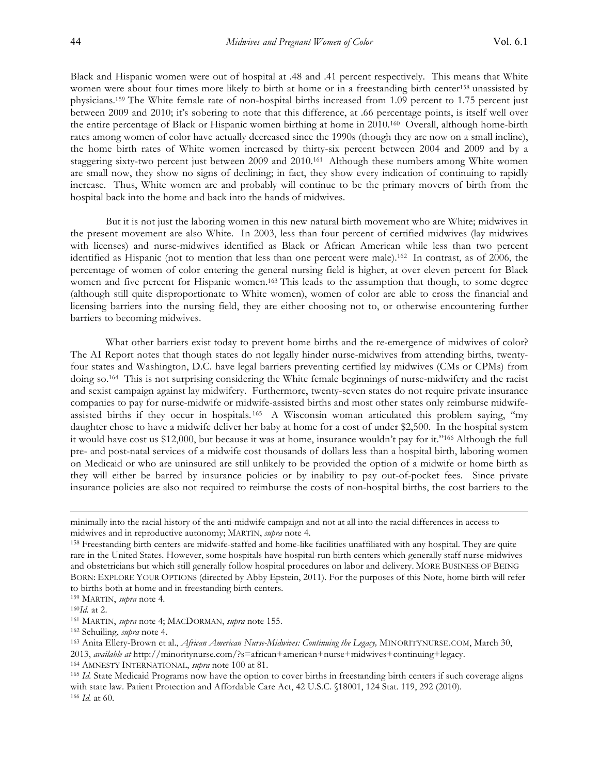Black and Hispanic women were out of hospital at .48 and .41 percent respectively. This means that White women were about four times more likely to birth at home or in a freestanding birth center<sup>158</sup> unassisted by physicians.159 The White female rate of non-hospital births increased from 1.09 percent to 1.75 percent just between 2009 and 2010; it's sobering to note that this difference, at .66 percentage points, is itself well over the entire percentage of Black or Hispanic women birthing at home in 2010.160 Overall, although home-birth rates among women of color have actually decreased since the 1990s (though they are now on a small incline), the home birth rates of White women increased by thirty-six percent between 2004 and 2009 and by a staggering sixty-two percent just between 2009 and 2010.161 Although these numbers among White women are small now, they show no signs of declining; in fact, they show every indication of continuing to rapidly increase. Thus, White women are and probably will continue to be the primary movers of birth from the hospital back into the home and back into the hands of midwives.

But it is not just the laboring women in this new natural birth movement who are White; midwives in the present movement are also White. In 2003, less than four percent of certified midwives (lay midwives with licenses) and nurse-midwives identified as Black or African American while less than two percent identified as Hispanic (not to mention that less than one percent were male).162 In contrast, as of 2006, the percentage of women of color entering the general nursing field is higher, at over eleven percent for Black women and five percent for Hispanic women.<sup>163</sup> This leads to the assumption that though, to some degree (although still quite disproportionate to White women), women of color are able to cross the financial and licensing barriers into the nursing field, they are either choosing not to, or otherwise encountering further barriers to becoming midwives.

What other barriers exist today to prevent home births and the re-emergence of midwives of color? The AI Report notes that though states do not legally hinder nurse-midwives from attending births, twentyfour states and Washington, D.C. have legal barriers preventing certified lay midwives (CMs or CPMs) from doing so.164 This is not surprising considering the White female beginnings of nurse-midwifery and the racist and sexist campaign against lay midwifery. Furthermore, twenty-seven states do not require private insurance companies to pay for nurse-midwife or midwife-assisted births and most other states only reimburse midwifeassisted births if they occur in hospitals. 165 A Wisconsin woman articulated this problem saying, "my daughter chose to have a midwife deliver her baby at home for a cost of under \$2,500. In the hospital system it would have cost us \$12,000, but because it was at home, insurance wouldn't pay for it."166 Although the full pre- and post-natal services of a midwife cost thousands of dollars less than a hospital birth, laboring women on Medicaid or who are uninsured are still unlikely to be provided the option of a midwife or home birth as they will either be barred by insurance policies or by inability to pay out-of-pocket fees. Since private insurance policies are also not required to reimburse the costs of non-hospital births, the cost barriers to the

minimally into the racial history of the anti-midwife campaign and not at all into the racial differences in access to midwives and in reproductive autonomy; MARTIN, *supra* note 4.

<sup>158</sup> Freestanding birth centers are midwife-staffed and home-like facilities unaffiliated with any hospital. They are quite rare in the United States. However, some hospitals have hospital-run birth centers which generally staff nurse-midwives and obstetricians but which still generally follow hospital procedures on labor and delivery. MORE BUSINESS OF BEING BORN: EXPLORE YOUR OPTIONS (directed by Abby Epstein, 2011). For the purposes of this Note, home birth will refer to births both at home and in freestanding birth centers.

<sup>159</sup> MARTIN, *supra* note 4.

<sup>160</sup>*Id.* at 2.

<sup>161</sup> MARTIN, *supra* note 4; MACDORMAN, *supra* note 155.

<sup>162</sup> Schuiling, *supra* note 4.

<sup>163</sup> Anita Ellery-Brown et al., *African American Nurse-Midwives: Continuing the Legacy,* MINORITYNURSE.COM, March 30, 2013, *available at* http://minoritynurse.com/?s=african+american+nurse+midwives+continuing+legacy.

<sup>164</sup> AMNESTY INTERNATIONAL, *supra* note 100 at 81.

<sup>165</sup> *Id.* State Medicaid Programs now have the option to cover births in freestanding birth centers if such coverage aligns with state law. Patient Protection and Affordable Care Act, 42 U.S.C. §18001, 124 Stat. 119, 292 (2010). <sup>166</sup> *Id.* at 60.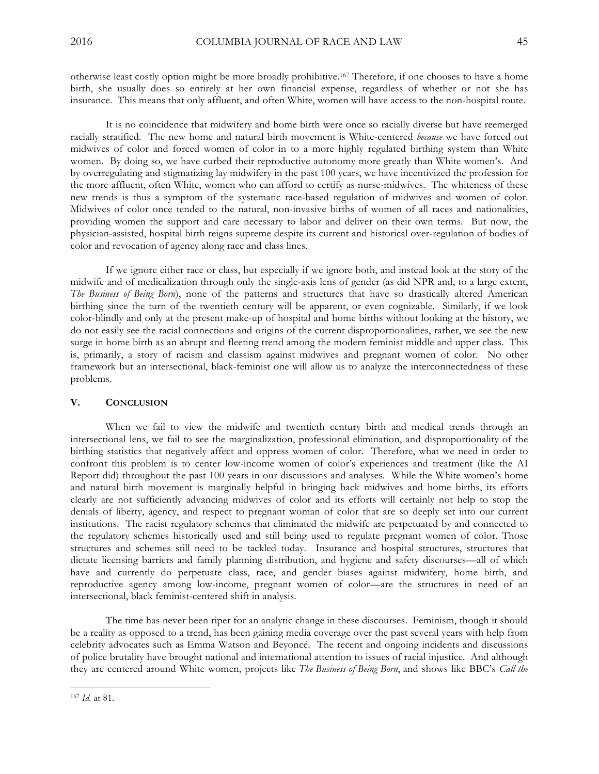otherwise least costly option might be more broadly prohibitive.167 Therefore, if one chooses to have a home birth, she usually does so entirely at her own financial expense, regardless of whether or not she has insurance. This means that only affluent, and often White, women will have access to the non-hospital route.

It is no coincidence that midwifery and home birth were once so racially diverse but have reemerged racially stratified. The new home and natural birth movement is White-centered *because* we have forced out midwives of color and forced women of color in to a more highly regulated birthing system than White women. By doing so, we have curbed their reproductive autonomy more greatly than White women's. And by overregulating and stigmatizing lay midwifery in the past 100 years, we have incentivized the profession for the more affluent, often White, women who can afford to certify as nurse-midwives. The whiteness of these new trends is thus a symptom of the systematic race-based regulation of midwives and women of color. Midwives of color once tended to the natural, non-invasive births of women of all races and nationalities, providing women the support and care necessary to labor and deliver on their own terms. But now, the physician-assisted, hospital birth reigns supreme despite its current and historical over-regulation of bodies of color and revocation of agency along race and class lines.

If we ignore either race or class, but especially if we ignore both, and instead look at the story of the midwife and of medicalization through only the single-axis lens of gender (as did NPR and, to a large extent, *The Business of Being Born*), none of the patterns and structures that have so drastically altered American birthing since the turn of the twentieth century will be apparent, or even cognizable. Similarly, if we look color-blindly and only at the present make-up of hospital and home births without looking at the history, we do not easily see the racial connections and origins of the current disproportionalities, rather, we see the new surge in home birth as an abrupt and fleeting trend among the modern feminist middle and upper class. This is, primarily, a story of racism and classism against midwives and pregnant women of color. No other framework but an intersectional, black-feminist one will allow us to analyze the interconnectedness of these problems.

# **V. CONCLUSION**

When we fail to view the midwife and twentieth century birth and medical trends through an intersectional lens, we fail to see the marginalization, professional elimination, and disproportionality of the birthing statistics that negatively affect and oppress women of color. Therefore, what we need in order to confront this problem is to center low-income women of color's experiences and treatment (like the AI Report did) throughout the past 100 years in our discussions and analyses. While the White women's home and natural birth movement is marginally helpful in bringing back midwives and home births, its efforts clearly are not sufficiently advancing midwives of color and its efforts will certainly not help to stop the denials of liberty, agency, and respect to pregnant woman of color that are so deeply set into our current institutions. The racist regulatory schemes that eliminated the midwife are perpetuated by and connected to the regulatory schemes historically used and still being used to regulate pregnant women of color. Those structures and schemes still need to be tackled today. Insurance and hospital structures, structures that dictate licensing barriers and family planning distribution, and hygiene and safety discourses—all of which have and currently do perpetuate class, race, and gender biases against midwifery, home birth, and reproductive agency among low-income, pregnant women of color—are the structures in need of an intersectional, black feminist-centered shift in analysis.

The time has never been riper for an analytic change in these discourses. Feminism, though it should be a reality as opposed to a trend, has been gaining media coverage over the past several years with help from celebrity advocates such as Emma Watson and Beyoncé. The recent and ongoing incidents and discussions of police brutality have brought national and international attention to issues of racial injustice. And although they are centered around White women, projects like *The Business of Being Born*, and shows like BBC's *Call the*

<sup>167</sup> *Id.* at 81.